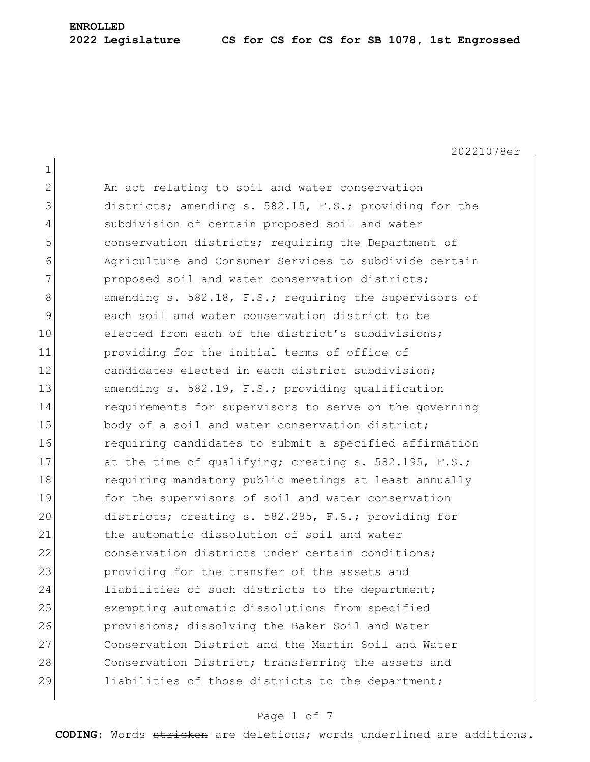20221078er

| $\mathbf 1$  |                                                        |
|--------------|--------------------------------------------------------|
| $\mathbf{2}$ | An act relating to soil and water conservation         |
| 3            | districts; amending s. 582.15, F.S.; providing for the |
| 4            | subdivision of certain proposed soil and water         |
| 5            | conservation districts; requiring the Department of    |
| 6            | Agriculture and Consumer Services to subdivide certain |
| 7            | proposed soil and water conservation districts;        |
| 8            | amending s. 582.18, F.S.; requiring the supervisors of |
| 9            | each soil and water conservation district to be        |
| 10           | elected from each of the district's subdivisions;      |
| 11           | providing for the initial terms of office of           |
| 12           | candidates elected in each district subdivision;       |
| 13           | amending s. 582.19, F.S.; providing qualification      |
| 14           | requirements for supervisors to serve on the governing |
| 15           | body of a soil and water conservation district;        |
| 16           | requiring candidates to submit a specified affirmation |
| 17           | at the time of qualifying; creating s. 582.195, F.S.;  |
| 18           | requiring mandatory public meetings at least annually  |
| 19           | for the supervisors of soil and water conservation     |
| 20           | districts; creating s. 582.295, F.S.; providing for    |
| 21           | the automatic dissolution of soil and water            |
| 22           | conservation districts under certain conditions;       |
| 23           | providing for the transfer of the assets and           |
| 24           | liabilities of such districts to the department;       |
| 25           | exempting automatic dissolutions from specified        |
| 26           | provisions; dissolving the Baker Soil and Water        |
| 27           | Conservation District and the Martin Soil and Water    |
| 28           | Conservation District; transferring the assets and     |
| 29           | liabilities of those districts to the department;      |

# Page 1 of 7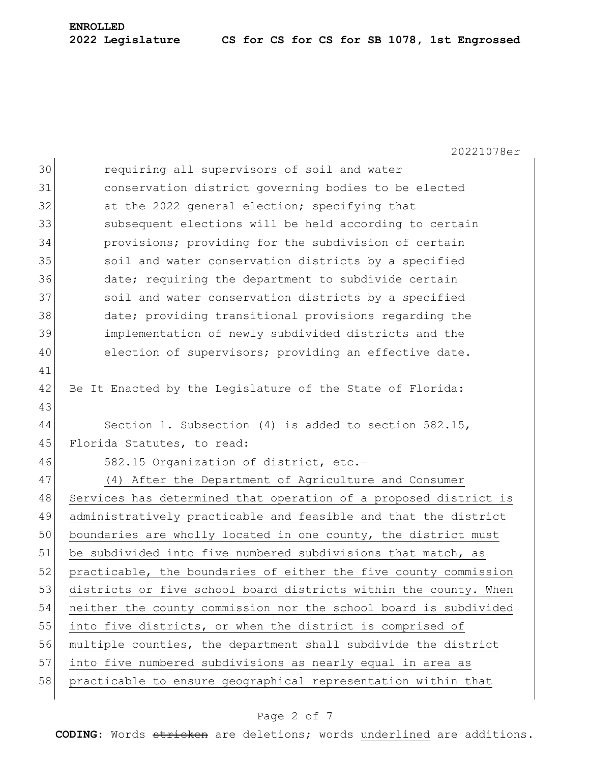20221078er

| 30 | requiring all supervisors of soil and water                      |
|----|------------------------------------------------------------------|
| 31 | conservation district governing bodies to be elected             |
| 32 | at the 2022 general election; specifying that                    |
| 33 | subsequent elections will be held according to certain           |
| 34 | provisions; providing for the subdivision of certain             |
| 35 | soil and water conservation districts by a specified             |
| 36 | date; requiring the department to subdivide certain              |
| 37 | soil and water conservation districts by a specified             |
| 38 | date; providing transitional provisions regarding the            |
| 39 | implementation of newly subdivided districts and the             |
| 40 | election of supervisors; providing an effective date.            |
| 41 |                                                                  |
| 42 | Be It Enacted by the Legislature of the State of Florida:        |
| 43 |                                                                  |
| 44 | Section 1. Subsection $(4)$ is added to section 582.15,          |
| 45 | Florida Statutes, to read:                                       |
| 46 | 582.15 Organization of district, etc.-                           |
| 47 | (4) After the Department of Agriculture and Consumer             |
| 48 | Services has determined that operation of a proposed district is |
| 49 | administratively practicable and feasible and that the district  |
| 50 | boundaries are wholly located in one county, the district must   |
| 51 | be subdivided into five numbered subdivisions that match, as     |
| 52 | practicable, the boundaries of either the five county commission |
| 53 | districts or five school board districts within the county. When |
| 54 | neither the county commission nor the school board is subdivided |
| 55 | into five districts, or when the district is comprised of        |
| 56 | multiple counties, the department shall subdivide the district   |
| 57 | into five numbered subdivisions as nearly equal in area as       |
| 58 | practicable to ensure geographical representation within that    |
|    |                                                                  |

## Page 2 of 7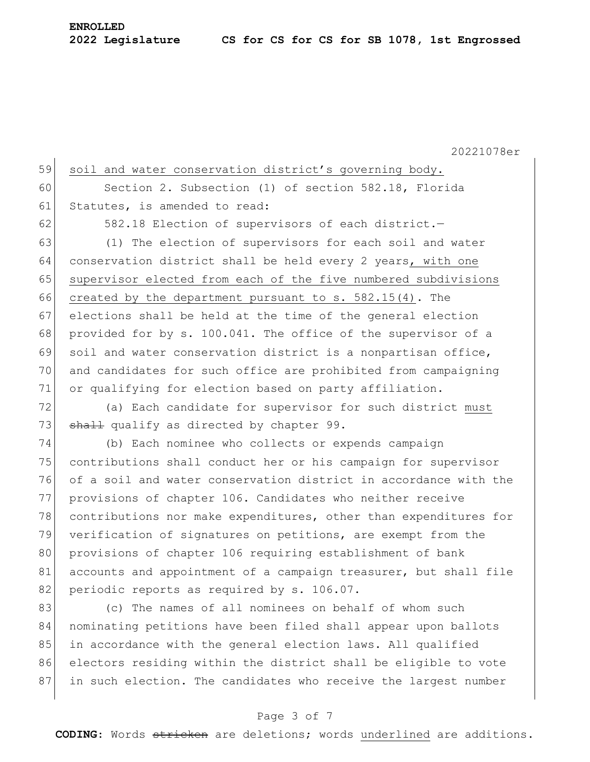20221078er 59 soil and water conservation district's governing body. 60 Section 2. Subsection (1) of section 582.18, Florida 61 Statutes, is amended to read: 62 582.18 Election of supervisors of each district.-63 (1) The election of supervisors for each soil and water 64 conservation district shall be held every 2 years, with one 65 supervisor elected from each of the five numbered subdivisions 66 created by the department pursuant to  $s. 582.15(4)$ . The 67 elections shall be held at the time of the general election 68 provided for by s. 100.041. The office of the supervisor of a 69 soil and water conservation district is a nonpartisan office, 70 and candidates for such office are prohibited from campaigning 71 or qualifying for election based on party affiliation. 72 (a) Each candidate for supervisor for such district must 73  $\sigma$  shall qualify as directed by chapter 99. 74 (b) Each nominee who collects or expends campaign 75 contributions shall conduct her or his campaign for supervisor 76 of a soil and water conservation district in accordance with the 77 provisions of chapter 106. Candidates who neither receive 78 contributions nor make expenditures, other than expenditures for 79 verification of signatures on petitions, are exempt from the 80 provisions of chapter 106 requiring establishment of bank 81 accounts and appointment of a campaign treasurer, but shall file 82 periodic reports as required by s. 106.07.

83 (c) The names of all nominees on behalf of whom such 84 nominating petitions have been filed shall appear upon ballots 85 in accordance with the general election laws. All qualified 86 electors residing within the district shall be eligible to vote 87 in such election. The candidates who receive the largest number

#### Page 3 of 7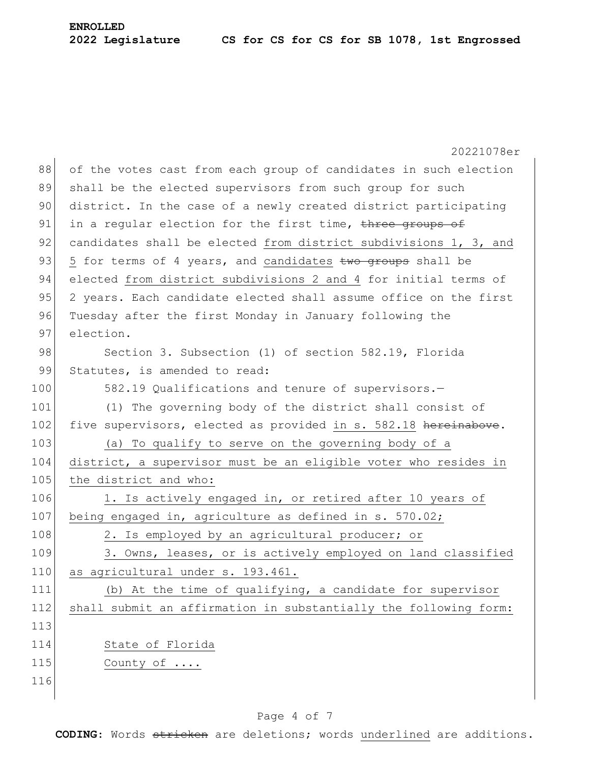|     | 20221078er                                                       |
|-----|------------------------------------------------------------------|
| 88  | of the votes cast from each group of candidates in such election |
| 89  | shall be the elected supervisors from such group for such        |
| 90  | district. In the case of a newly created district participating  |
| 91  | in a regular election for the first time, three groups of        |
| 92  | candidates shall be elected from district subdivisions 1, 3, and |
| 93  | 5 for terms of 4 years, and candidates two groups shall be       |
| 94  | elected from district subdivisions 2 and 4 for initial terms of  |
| 95  | 2 years. Each candidate elected shall assume office on the first |
| 96  | Tuesday after the first Monday in January following the          |
| 97  | election.                                                        |
| 98  | Section 3. Subsection (1) of section 582.19, Florida             |
| 99  | Statutes, is amended to read:                                    |
| 100 | 582.19 Qualifications and tenure of supervisors.-                |
| 101 | (1) The governing body of the district shall consist of          |
| 102 | five supervisors, elected as provided in s. 582.18 hereinabove.  |
| 103 | (a) To qualify to serve on the governing body of a               |
| 104 | district, a supervisor must be an eligible voter who resides in  |
| 105 | the district and who:                                            |
| 106 | 1. Is actively engaged in, or retired after 10 years of          |
| 107 | being engaged in, agriculture as defined in s. 570.02;           |
| 108 | 2. Is employed by an agricultural producer; or                   |
| 109 | 3. Owns, leases, or is actively employed on land classified      |
| 110 | as agricultural under s. 193.461.                                |
| 111 | (b) At the time of qualifying, a candidate for supervisor        |
| 112 | shall submit an affirmation in substantially the following form: |
| 113 |                                                                  |
| 114 | State of Florida                                                 |
| 115 | County of                                                        |
| 116 |                                                                  |
|     |                                                                  |

## Page 4 of 7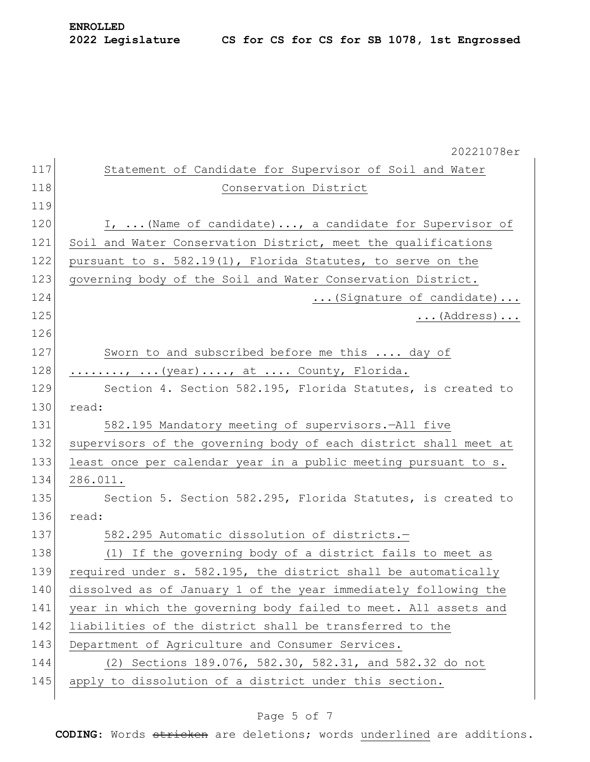|     | 20221078er                                                       |
|-----|------------------------------------------------------------------|
| 117 | Statement of Candidate for Supervisor of Soil and Water          |
| 118 | Conservation District                                            |
| 119 |                                                                  |
| 120 | I,  (Name of candidate), a candidate for Supervisor of           |
| 121 | Soil and Water Conservation District, meet the qualifications    |
| 122 | pursuant to s. 582.19(1), Florida Statutes, to serve on the      |
| 123 | governing body of the Soil and Water Conservation District.      |
| 124 | (Signature of candidate)                                         |
| 125 | $\ldots$ (Address)                                               |
| 126 |                                                                  |
| 127 | Sworn to and subscribed before me this  day of                   |
| 128 | ,  (year) , at  County, Florida.                                 |
| 129 | Section 4. Section 582.195, Florida Statutes, is created to      |
| 130 | read:                                                            |
| 131 | 582.195 Mandatory meeting of supervisors.-All five               |
| 132 | supervisors of the governing body of each district shall meet at |
| 133 | least once per calendar year in a public meeting pursuant to s.  |
| 134 | 286.011.                                                         |
| 135 | Section 5. Section 582.295, Florida Statutes, is created to      |
| 136 | read:                                                            |
| 137 | 582.295 Automatic dissolution of districts.-                     |
| 138 | (1) If the governing body of a district fails to meet as         |
| 139 | required under s. 582.195, the district shall be automatically   |
| 140 | dissolved as of January 1 of the year immediately following the  |
| 141 | year in which the governing body failed to meet. All assets and  |
| 142 | liabilities of the district shall be transferred to the          |
| 143 | Department of Agriculture and Consumer Services.                 |
| 144 | (2) Sections 189.076, 582.30, 582.31, and 582.32 do not          |
| 145 | apply to dissolution of a district under this section.           |

# Page 5 of 7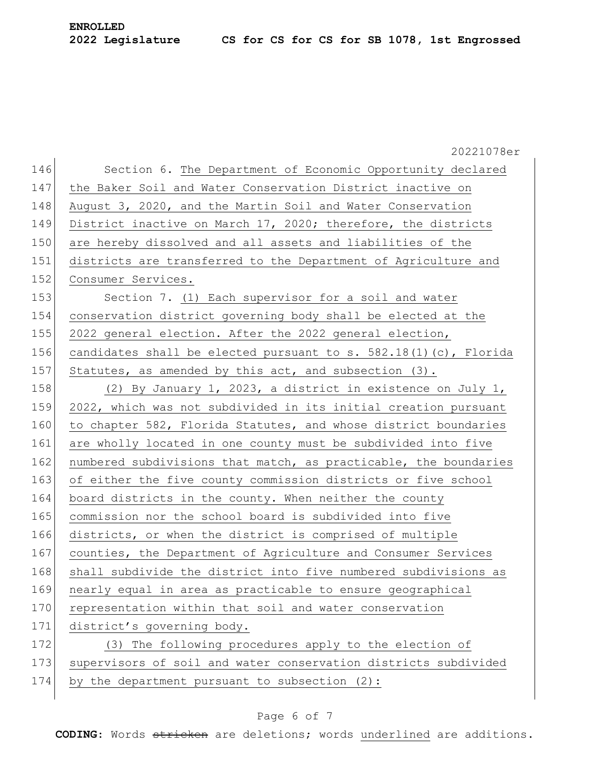20221078er 146 Section 6. The Department of Economic Opportunity declared 147 the Baker Soil and Water Conservation District inactive on 148 August 3, 2020, and the Martin Soil and Water Conservation 149 District inactive on March 17, 2020; therefore, the districts 150 are hereby dissolved and all assets and liabilities of the 151 districts are transferred to the Department of Agriculture and 152 Consumer Services. 153 Section 7. (1) Each supervisor for a soil and water 154 conservation district governing body shall be elected at the 155 2022 general election. After the 2022 general election, 156 candidates shall be elected pursuant to s.  $582.18(1)(c)$ , Florida 157 Statutes, as amended by this act, and subsection  $(3)$ . 158 (2) By January 1, 2023, a district in existence on July 1, 159 2022, which was not subdivided in its initial creation pursuant 160 to chapter 582, Florida Statutes, and whose district boundaries 161 are wholly located in one county must be subdivided into five 162 numbered subdivisions that match, as practicable, the boundaries 163 of either the five county commission districts or five school 164 board districts in the county. When neither the county 165 commission nor the school board is subdivided into five 166 districts, or when the district is comprised of multiple 167 counties, the Department of Agriculture and Consumer Services 168 shall subdivide the district into five numbered subdivisions as 169 nearly equal in area as practicable to ensure geographical 170 representation within that soil and water conservation 171 district's governing body. 172 (3) The following procedures apply to the election of 173 supervisors of soil and water conservation districts subdivided 174 by the department pursuant to subsection (2):

#### Page 6 of 7